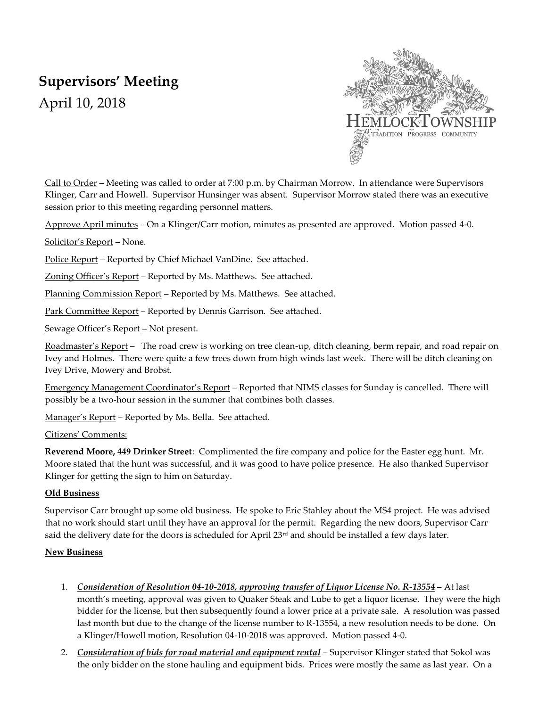# **Supervisors' Meeting**

April 10, 2018



Call to Order – Meeting was called to order at 7:00 p.m. by Chairman Morrow. In attendance were Supervisors Klinger, Carr and Howell. Supervisor Hunsinger was absent. Supervisor Morrow stated there was an executive session prior to this meeting regarding personnel matters.

Approve April minutes – On a Klinger/Carr motion, minutes as presented are approved. Motion passed 4-0.

Solicitor's Report – None.

Police Report – Reported by Chief Michael VanDine. See attached.

Zoning Officer's Report – Reported by Ms. Matthews. See attached.

Planning Commission Report – Reported by Ms. Matthews. See attached.

Park Committee Report – Reported by Dennis Garrison. See attached.

Sewage Officer's Report – Not present.

Roadmaster's Report – The road crew is working on tree clean-up, ditch cleaning, berm repair, and road repair on Ivey and Holmes. There were quite a few trees down from high winds last week. There will be ditch cleaning on Ivey Drive, Mowery and Brobst.

Emergency Management Coordinator's Report – Reported that NIMS classes for Sunday is cancelled. There will possibly be a two-hour session in the summer that combines both classes.

Manager's Report – Reported by Ms. Bella. See attached.

### Citizens' Comments:

**Reverend Moore, 449 Drinker Street**: Complimented the fire company and police for the Easter egg hunt. Mr. Moore stated that the hunt was successful, and it was good to have police presence. He also thanked Supervisor Klinger for getting the sign to him on Saturday.

### **Old Business**

Supervisor Carr brought up some old business. He spoke to Eric Stahley about the MS4 project. He was advised that no work should start until they have an approval for the permit. Regarding the new doors, Supervisor Carr said the delivery date for the doors is scheduled for April 23<sup>rd</sup> and should be installed a few days later.

### **New Business**

- 1. *Consideration of Resolution 04-10-2018, approving transfer of Liquor License No. R-13554* At last month's meeting, approval was given to Quaker Steak and Lube to get a liquor license. They were the high bidder for the license, but then subsequently found a lower price at a private sale. A resolution was passed last month but due to the change of the license number to R-13554, a new resolution needs to be done. On a Klinger/Howell motion, Resolution 04-10-2018 was approved. Motion passed 4-0.
- 2. *Consideration of bids for road material and equipment rental* Supervisor Klinger stated that Sokol was the only bidder on the stone hauling and equipment bids. Prices were mostly the same as last year. On a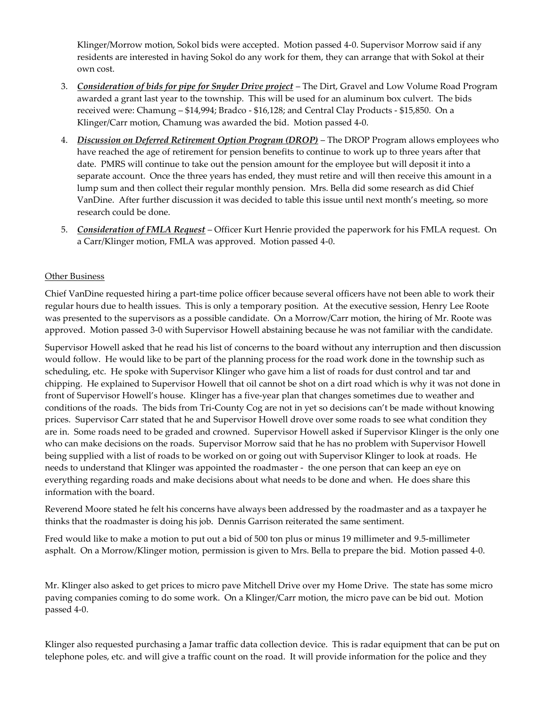Klinger/Morrow motion, Sokol bids were accepted. Motion passed 4-0. Supervisor Morrow said if any residents are interested in having Sokol do any work for them, they can arrange that with Sokol at their own cost.

- 3. *Consideration of bids for pipe for Snyder Drive project* The Dirt, Gravel and Low Volume Road Program awarded a grant last year to the township. This will be used for an aluminum box culvert. The bids received were: Chamung – \$14,994; Bradco - \$16,128; and Central Clay Products - \$15,850. On a Klinger/Carr motion, Chamung was awarded the bid. Motion passed 4-0.
- 4. *Discussion on Deferred Retirement Option Program (DROP)* The DROP Program allows employees who have reached the age of retirement for pension benefits to continue to work up to three years after that date. PMRS will continue to take out the pension amount for the employee but will deposit it into a separate account. Once the three years has ended, they must retire and will then receive this amount in a lump sum and then collect their regular monthly pension. Mrs. Bella did some research as did Chief VanDine. After further discussion it was decided to table this issue until next month's meeting, so more research could be done.
- 5. *Consideration of FMLA Request* Officer Kurt Henrie provided the paperwork for his FMLA request. On a Carr/Klinger motion, FMLA was approved. Motion passed 4-0.

### Other Business

Chief VanDine requested hiring a part-time police officer because several officers have not been able to work their regular hours due to health issues. This is only a temporary position. At the executive session, Henry Lee Roote was presented to the supervisors as a possible candidate. On a Morrow/Carr motion, the hiring of Mr. Roote was approved. Motion passed 3-0 with Supervisor Howell abstaining because he was not familiar with the candidate.

Supervisor Howell asked that he read his list of concerns to the board without any interruption and then discussion would follow. He would like to be part of the planning process for the road work done in the township such as scheduling, etc. He spoke with Supervisor Klinger who gave him a list of roads for dust control and tar and chipping. He explained to Supervisor Howell that oil cannot be shot on a dirt road which is why it was not done in front of Supervisor Howell's house. Klinger has a five-year plan that changes sometimes due to weather and conditions of the roads. The bids from Tri-County Cog are not in yet so decisions can't be made without knowing prices. Supervisor Carr stated that he and Supervisor Howell drove over some roads to see what condition they are in. Some roads need to be graded and crowned. Supervisor Howell asked if Supervisor Klinger is the only one who can make decisions on the roads. Supervisor Morrow said that he has no problem with Supervisor Howell being supplied with a list of roads to be worked on or going out with Supervisor Klinger to look at roads. He needs to understand that Klinger was appointed the roadmaster - the one person that can keep an eye on everything regarding roads and make decisions about what needs to be done and when. He does share this information with the board.

Reverend Moore stated he felt his concerns have always been addressed by the roadmaster and as a taxpayer he thinks that the roadmaster is doing his job. Dennis Garrison reiterated the same sentiment.

Fred would like to make a motion to put out a bid of 500 ton plus or minus 19 millimeter and 9.5-millimeter asphalt. On a Morrow/Klinger motion, permission is given to Mrs. Bella to prepare the bid. Motion passed 4-0.

Mr. Klinger also asked to get prices to micro pave Mitchell Drive over my Home Drive. The state has some micro paving companies coming to do some work. On a Klinger/Carr motion, the micro pave can be bid out. Motion passed 4-0.

Klinger also requested purchasing a Jamar traffic data collection device. This is radar equipment that can be put on telephone poles, etc. and will give a traffic count on the road. It will provide information for the police and they